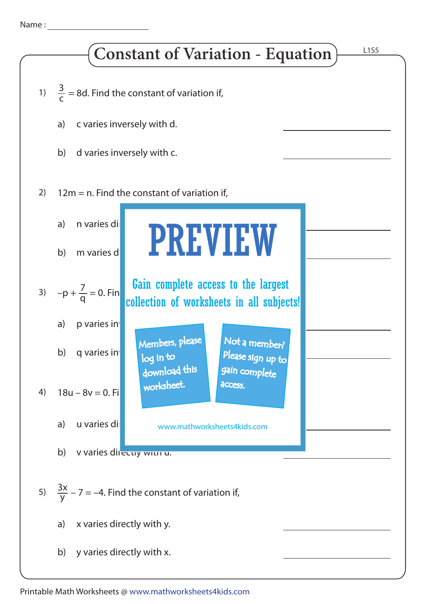